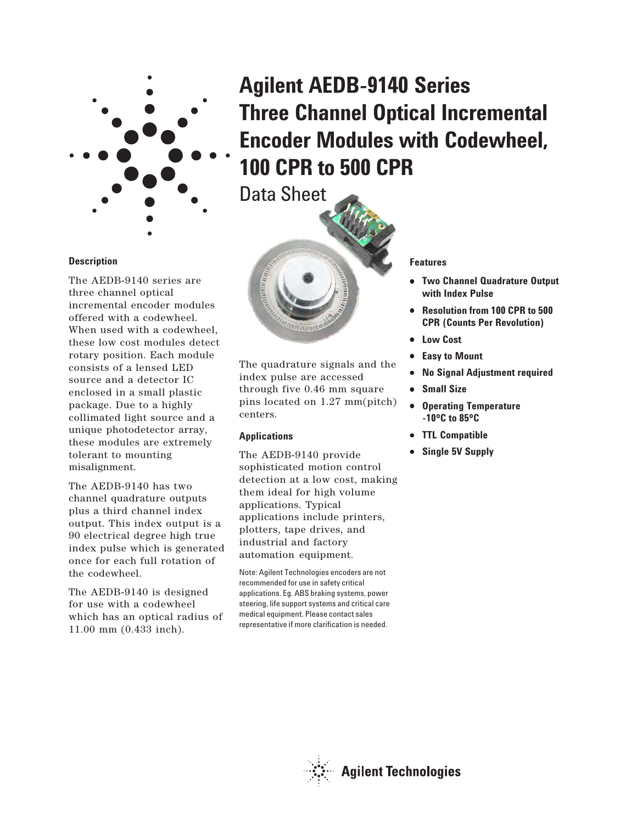

# **Agilent AEDB-9140 Series Three Channel Optical Incremental Encoder Modules with Codewheel, 100 CPR to 500 CPR**

Data Sheet



The quadrature signals and the index pulse are accessed through five 0.46 mm square pins located on 1.27 mm(pitch) centers.

## **Applications**

The AEDB-9140 provide sophisticated motion control detection at a low cost, making them ideal for high volume applications. Typical applications include printers, plotters, tape drives, and industrial and factory automation equipment.

Note: Agilent Technologies encoders are not recommended for use in safety critical applications. Eg. ABS braking systems, power steering, life support systems and critical care medical equipment. Please contact sales representative if more clarification is needed.

## **Features**

- **Two Channel Quadrature Output with Index Pulse**
- **Resolution from 100 CPR to 500 CPR (Counts Per Revolution)**
- **Low Cost**
- **Easy to Mount**
- **No Signal Adjustment required**
- **Small Size**
- **Operating Temperature -10**°**C to 85**°**C**
- **TTL Compatible**
- **Single 5V Supply**

## **Description**

The AEDB-9140 series are three channel optical incremental encoder modules offered with a codewheel. When used with a codewheel, these low cost modules detect rotary position. Each module consists of a lensed LED source and a detector IC enclosed in a small plastic package. Due to a highly collimated light source and a unique photodetector array, these modules are extremely tolerant to mounting misalignment.

The AEDB-9140 has two channel quadrature outputs plus a third channel index output. This index output is a 90 electrical degree high true index pulse which is generated once for each full rotation of the codewheel.

The AEDB-9140 is designed for use with a codewheel which has an optical radius of 11.00 mm (0.433 inch).

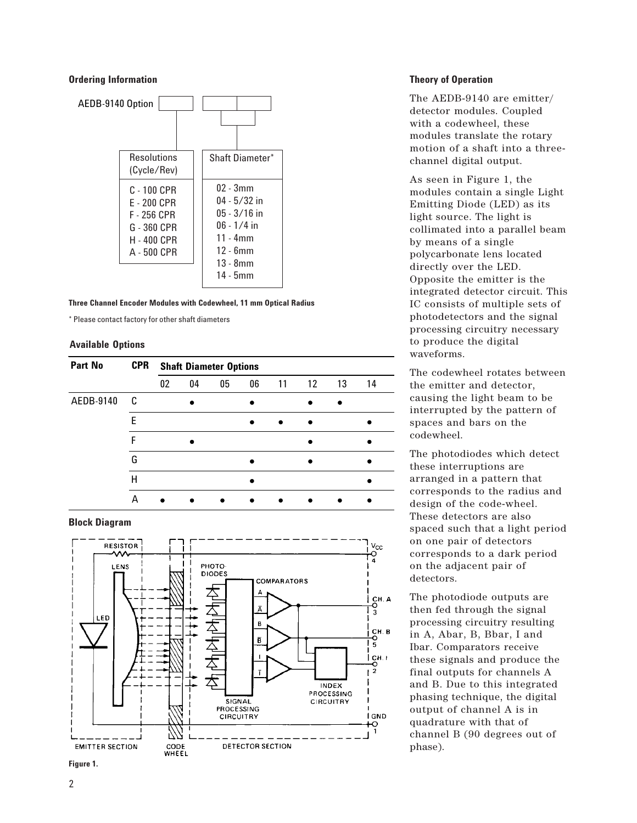## **Ordering Information**



**Three Channel Encoder Modules with Codewheel, 11 mm Optical Radius**

\* Please contact factory for other shaft diameters

#### **Available Options**

| <b>Part No</b> | <b>CPR</b> | <b>Shaft Diameter Options</b> |    |    |           |    |         |    |    |
|----------------|------------|-------------------------------|----|----|-----------|----|---------|----|----|
|                |            | 02                            | 04 | 05 | 06        | 11 | $12 \,$ | 13 | 14 |
| AEDB-9140      | C          |                               |    |    |           |    |         |    |    |
|                | F          |                               |    |    | $\bullet$ |    |         |    |    |
|                | F          |                               |    |    |           |    |         |    |    |
|                | G          |                               |    |    |           |    |         |    |    |
|                | Н          |                               |    |    |           |    |         |    |    |
|                | А          |                               |    |    |           |    |         |    |    |

## **Block Diagram**





## **Theory of Operation**

The AEDB-9140 are emitter/ detector modules. Coupled with a codewheel, these modules translate the rotary motion of a shaft into a threechannel digital output.

As seen in Figure 1, the modules contain a single Light Emitting Diode (LED) as its light source. The light is collimated into a parallel beam by means of a single polycarbonate lens located directly over the LED. Opposite the emitter is the integrated detector circuit. This IC consists of multiple sets of photodetectors and the signal processing circuitry necessary to produce the digital waveforms.

The codewheel rotates between the emitter and detector, causing the light beam to be interrupted by the pattern of spaces and bars on the codewheel.

The photodiodes which detect these interruptions are arranged in a pattern that corresponds to the radius and design of the code-wheel. These detectors are also spaced such that a light period on one pair of detectors corresponds to a dark period on the adjacent pair of detectors.

The photodiode outputs are then fed through the signal processing circuitry resulting in A, Abar, B, Bbar, I and Ibar. Comparators receive these signals and produce the final outputs for channels A and B. Due to this integrated phasing technique, the digital output of channel A is in quadrature with that of channel B (90 degrees out of phase).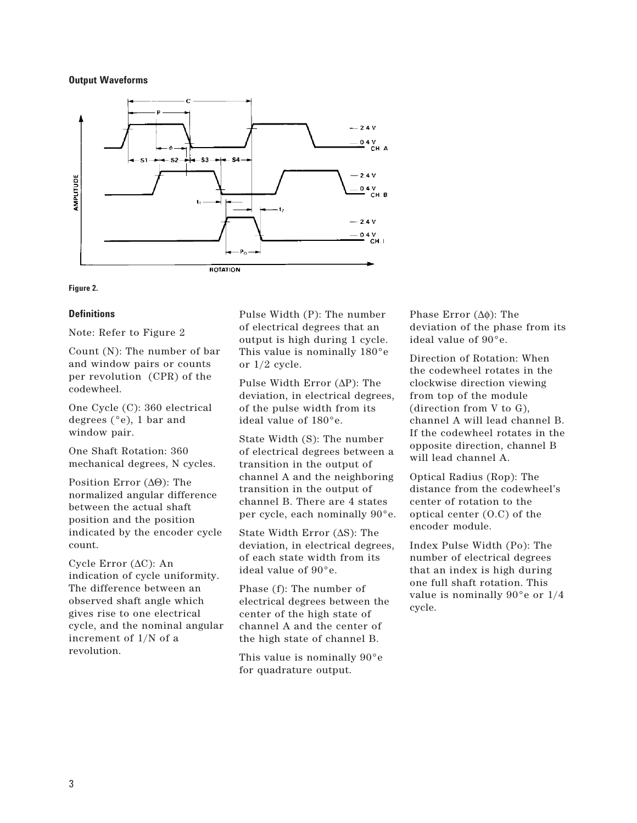## **Output Waveforms**



#### **Figure 2.**

#### **Definitions**

Note: Refer to Figure 2

Count (N): The number of bar and window pairs or counts per revolution (CPR) of the codewheel.

One Cycle (C): 360 electrical degrees (°e), 1 bar and window pair.

One Shaft Rotation: 360 mechanical degrees, N cycles.

Position Error (∆Θ): The normalized angular difference between the actual shaft position and the position indicated by the encoder cycle count.

Cycle Error (∆C): An indication of cycle uniformity. The difference between an observed shaft angle which gives rise to one electrical cycle, and the nominal angular increment of 1/N of a revolution.

Pulse Width (P): The number of electrical degrees that an output is high during 1 cycle. This value is nominally 180°e or 1/2 cycle.

Pulse Width Error (∆P): The deviation, in electrical degrees, of the pulse width from its ideal value of 180°e.

State Width (S): The number of electrical degrees between a transition in the output of channel A and the neighboring transition in the output of channel B. There are 4 states per cycle, each nominally 90°e.

State Width Error (∆S): The deviation, in electrical degrees, of each state width from its ideal value of 90°e.

Phase (f): The number of electrical degrees between the center of the high state of channel A and the center of the high state of channel B.

This value is nominally 90°e for quadrature output.

Phase Error (∆φ): The deviation of the phase from its ideal value of 90°e.

Direction of Rotation: When the codewheel rotates in the clockwise direction viewing from top of the module (direction from V to G), channel A will lead channel B. If the codewheel rotates in the opposite direction, channel B will lead channel A.

Optical Radius (Rop): The distance from the codewheel's center of rotation to the optical center (O.C) of the encoder module.

Index Pulse Width (Po): The number of electrical degrees that an index is high during one full shaft rotation. This value is nominally 90°e or 1/4 cycle.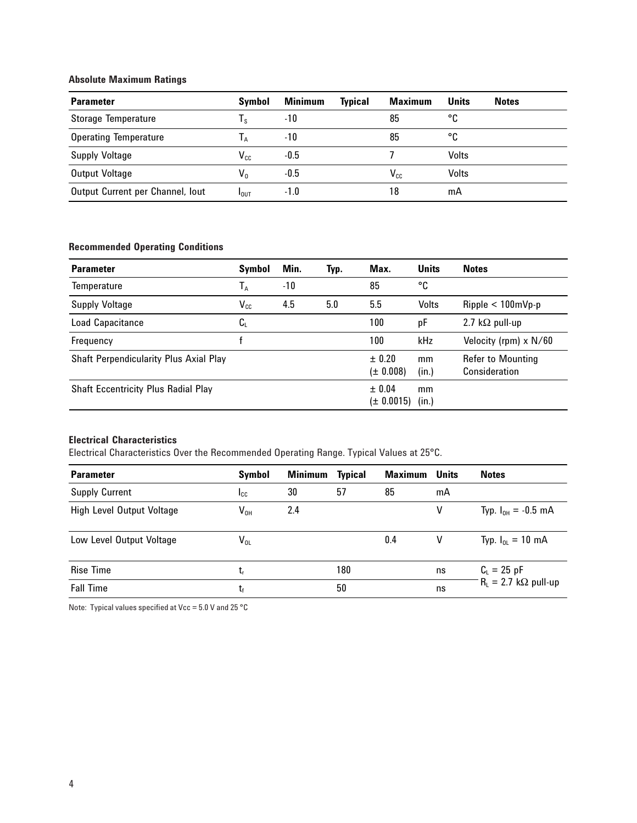# **Absolute Maximum Ratings**

| <b>Parameter</b>                 | Symbol                  | <b>Minimum</b> | <b>Typical</b> | Maximum  | <b>Units</b> | <b>Notes</b> |
|----------------------------------|-------------------------|----------------|----------------|----------|--------------|--------------|
| <b>Storage Temperature</b>       | $\mathsf{I}_\mathsf{S}$ | -10            |                | 85       | °C           |              |
| <b>Operating Temperature</b>     | l a                     | -10            |                | 85       | °C           |              |
| <b>Supply Voltage</b>            | $V_{cc}$                | $-0.5$         |                |          | Volts        |              |
| Output Voltage                   | $V_0$                   | $-0.5$         |                | $V_{cc}$ | Volts        |              |
| Output Current per Channel, lout | I <sub>OUT</sub>        | $-1.0$         |                | 18       | mA           |              |

# **Recommended Operating Conditions**

| <b>Parameter</b>                              | <b>Symbol</b>    | Min. | Typ. | Max.                    | <b>Units</b> | <b>Notes</b>                       |
|-----------------------------------------------|------------------|------|------|-------------------------|--------------|------------------------------------|
| Temperature                                   | T <sub>a</sub>   | -10  |      | 85                      | °C           |                                    |
| <b>Supply Voltage</b>                         | $V_{cc}$         | 4.5  | 5.0  | 5.5                     | Volts        | $Ripple < 100 \text{mVp-p}$        |
| <b>Load Capacitance</b>                       | $\mathtt{C_{L}}$ |      |      | 100                     | рF           | 2.7 k $\Omega$ pull-up             |
| Frequency                                     |                  |      |      | 100                     | kHz          | Velocity (rpm) x N/60              |
| <b>Shaft Perpendicularity Plus Axial Play</b> |                  |      |      | ± 0.20<br>$(\pm 0.008)$ | mm<br>(in.)  | Refer to Mounting<br>Consideration |
| <b>Shaft Eccentricity Plus Radial Play</b>    |                  |      |      | ± 0.04<br>(± 0.0015)    | mm<br>(in.)  |                                    |

# **Electrical Characteristics**

Electrical Characteristics Over the Recommended Operating Range. Typical Values at 25°C.

| <b>Parameter</b>          | <b>Symbol</b> | <b>Minimum</b> | <b>Typical</b> | <b>Maximum</b> | Units | <b>Notes</b>                  |
|---------------------------|---------------|----------------|----------------|----------------|-------|-------------------------------|
| <b>Supply Current</b>     | <b>I</b> cc   | 30             | 57             | 85             | mA    |                               |
| High Level Output Voltage | $V_{OH}$      | 2.4            |                |                | ۷     | Typ. $I_{OH} = -0.5$ mA       |
| Low Level Output Voltage  | $V_{OL}$      |                |                | 0.4            | v     | Typ. $I_{OL} = 10 \text{ mA}$ |
| <b>Rise Time</b>          | t,            |                | 180            |                | ns    | $C_{L} = 25$ pF               |
| <b>Fall Time</b>          | t,            |                | 50             |                | ns    | $R_L = 2.7 k\Omega$ pull-up   |

Note: Typical values specified at Vcc =  $5.0$  V and 25 °C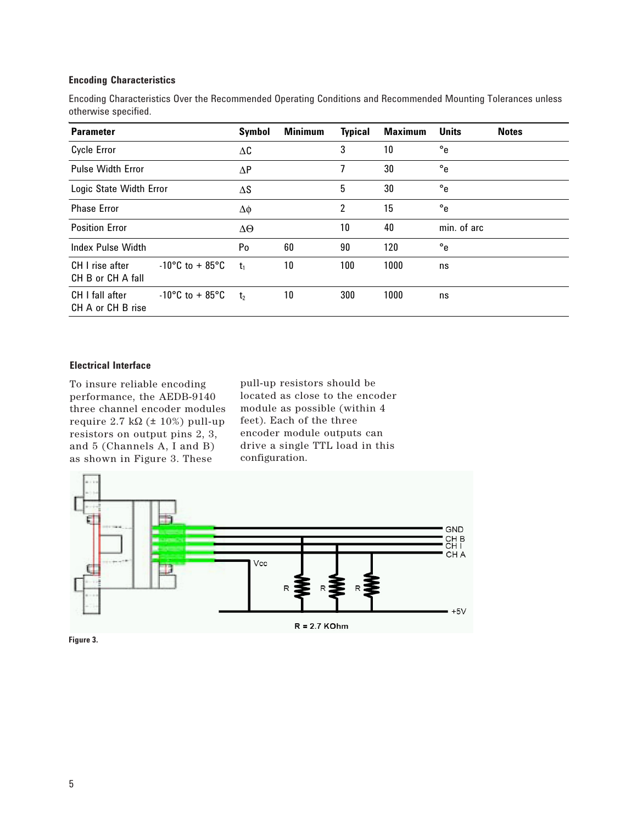## **Encoding Characteristics**

Encoding Characteristics Over the Recommended Operating Conditions and Recommended Mounting Tolerances unless otherwise specified.

| <b>Parameter</b>                     | <b>Symbol</b>                        | <b>Minimum</b> | <b>Typical</b> | <b>Maximum</b> | <b>Units</b> | <b>Notes</b> |  |
|--------------------------------------|--------------------------------------|----------------|----------------|----------------|--------------|--------------|--|
| <b>Cycle Error</b>                   | $\Delta C$                           |                | 3              | 10             | $^{\circ}$ e |              |  |
| <b>Pulse Width Error</b>             | $\Delta P$                           |                | 7              | 30             | $^{\circ}$ e |              |  |
| Logic State Width Error              | ΔS                                   |                | 5              | 30             | $^{\circ}$ e |              |  |
| <b>Phase Error</b>                   | Δφ                                   |                | 2              | 15             | $^{\circ}$ e |              |  |
| <b>Position Error</b>                |                                      | $\Delta\Theta$ |                | 10             | 40           | min. of arc  |  |
| <b>Index Pulse Width</b>             |                                      | Po             | 60             | 90             | 120          | $^{\circ}$ e |  |
| CH I rise after<br>CH B or CH A fall | $-10^{\circ}$ C to + 85 $^{\circ}$ C | t <sub>1</sub> | 10             | 100            | 1000         | ns           |  |
| CH I fall after<br>CH A or CH B rise | $-10^{\circ}$ C to + 85 $^{\circ}$ C | t <sub>2</sub> | 10             | 300            | 1000         | ns           |  |

# **Electrical Interface**

To insure reliable encoding performance, the AEDB-9140 three channel encoder modules require  $2.7 \text{ k}\Omega$  ( $\pm 10\%$ ) pull-up resistors on output pins 2, 3, and 5 (Channels A, I and B) as shown in Figure 3. These

pull-up resistors should be located as close to the encoder module as possible (within 4 feet). Each of the three encoder module outputs can drive a single TTL load in this configuration.



**Figure 3.**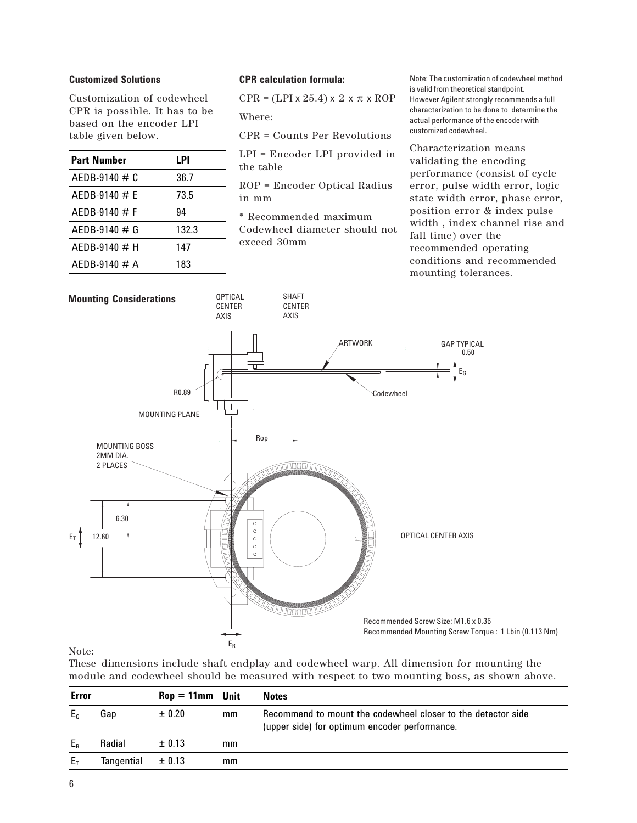## **Customized Solutions**

Customization of codewheel CPR is possible. It has to be based on the encoder LPI table given below.

| <b>Part Number</b> | LPI   |
|--------------------|-------|
| $AEDB-9140 \# C$   | 36.7  |
| $AFDB-9140 \# F$   | 73.5  |
| $AFDB-9140 \# F$   | 94    |
| $AFDB-9140 \# G$   | 132.3 |
| $AFDB-9140 \# H$   | 147   |
| $AFDB-9140 \# A$   | 183   |

#### **CPR calculation formula:**

 $CPR = (LPI \times 25.4) \times 2 \times \pi \times ROP$ 

Where:

CPR = Counts Per Revolutions

LPI = Encoder LPI provided in the table

ROP = Encoder Optical Radius in mm

\* Recommended maximum Codewheel diameter should not exceed 30mm

Note: The customization of codewheel method is valid from theoretical standpoint. However Agilent strongly recommends a full characterization to be done to determine the actual performance of the encoder with customized codewheel.

Characterization means validating the encoding performance (consist of cycle error, pulse width error, logic state width error, phase error, position error & index pulse width , index channel rise and fall time) over the recommended operating conditions and recommended mounting tolerances.



Note:

These dimensions include shaft endplay and codewheel warp. All dimension for mounting the module and codewheel should be measured with respect to two mounting boss, as shown above.

| <b>Error</b>   |                       | $\text{Rop} = 11 \text{mm}$ Unit |    | <b>Notes</b>                                                                                                  |
|----------------|-----------------------|----------------------------------|----|---------------------------------------------------------------------------------------------------------------|
| E <sub>G</sub> | Gap                   | ± 0.20                           | mm | Recommend to mount the codewheel closer to the detector side<br>(upper side) for optimum encoder performance. |
| $E_R$          | Radial                | $\pm$ 0.13                       | mm |                                                                                                               |
| $E_T$          | Tangential $\pm$ 0.13 |                                  | mm |                                                                                                               |
|                |                       |                                  |    |                                                                                                               |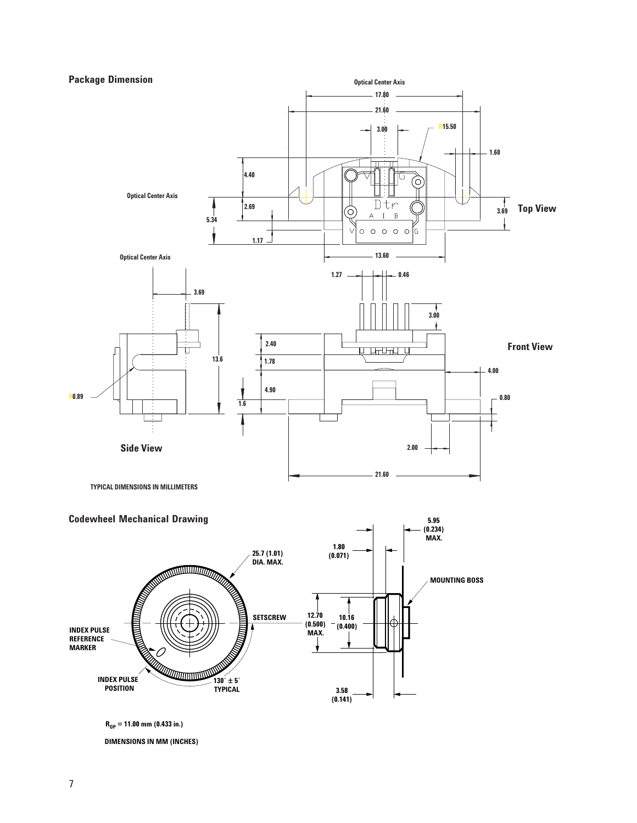# **Package Dimension**